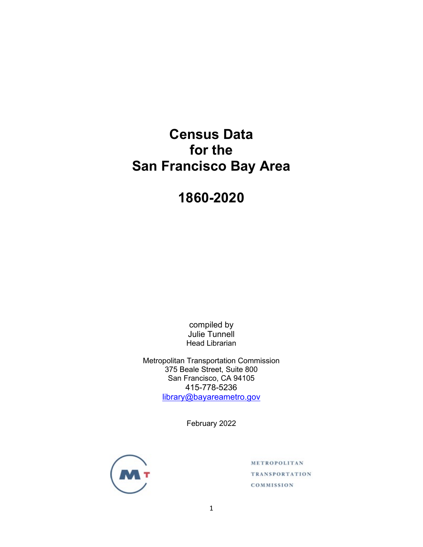# **Census Data for the San Francisco Bay Area**

**1860-2020**

compiled by Julie Tunnell Head Librarian

Metropolitan Transportation Commission 375 Beale Street, Suite 800 San Francisco, CA 94105 415-778-5236 [library@bayareametro.gov](mailto:library@bayareametro.gov)

February 2022



METROPOLITAN **TRANSPORTATION** COMMISSION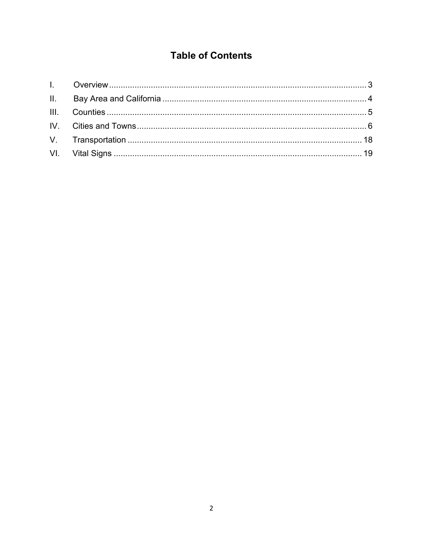## **Table of Contents**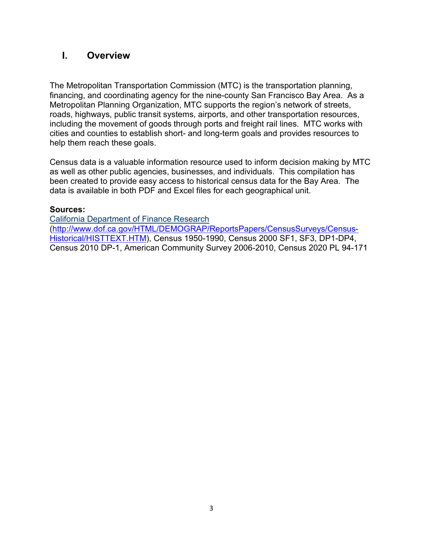## **I. Overview**

The Metropolitan Transportation Commission (MTC) is the transportation planning, financing, and coordinating agency for the nine-county San Francisco Bay Area. As a Metropolitan Planning Organization, MTC supports the region's network of streets, roads, highways, public transit systems, airports, and other transportation resources, including the movement of goods through ports and freight rail lines. MTC works with cities and counties to establish short- and long-term goals and provides resources to help them reach these goals.

Census data is a valuable information resource used to inform decision making by MTC as well as other public agencies, businesses, and individuals. This compilation has been created to provide easy access to historical census data for the Bay Area. The data is available in both PDF and Excel files for each geographical unit.

### **Sources:**

[California Department of Finance Research](http://www.dof.ca.gov/HTML/DEMOGRAP/ReportsPapers/CensusSurveys/Census-Historical/HISTTEXT.HTM) [\(http://www.dof.ca.gov/HTML/DEMOGRAP/ReportsPapers/CensusSurveys/Census-](http://www.dof.ca.gov/HTML/DEMOGRAP/ReportsPapers/CensusSurveys/Census-Historical/HISTTEXT.HTM)[Historical/HISTTEXT.HTM\)](http://www.dof.ca.gov/HTML/DEMOGRAP/ReportsPapers/CensusSurveys/Census-Historical/HISTTEXT.HTM), Census 1950-1990, Census 2000 SF1, SF3, DP1-DP4, Census 2010 DP-1, American Community Survey 2006-2010, Census 2020 PL 94-171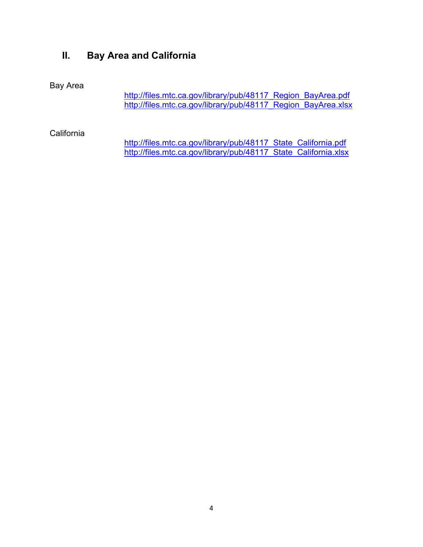## **II. Bay Area and California**

### Bay Area

[http://files.mtc.ca.gov/library/pub/48117\\_Region\\_BayArea.pdf](http://files.mtc.ca.gov/library/pub/48117_Region_BayArea.pdf) [http://files.mtc.ca.gov/library/pub/48117\\_Region\\_BayArea.xlsx](http://files.mtc.ca.gov/library/pub/48117_Region_BayArea.xlsx)

California

[http://files.mtc.ca.gov/library/pub/48117\\_State\\_California.pdf](http://files.mtc.ca.gov/library/pub/48117_State_California.pdf) [http://files.mtc.ca.gov/library/pub/48117\\_State\\_California.xlsx](http://files.mtc.ca.gov/library/pub/48117_State_California.xlsx)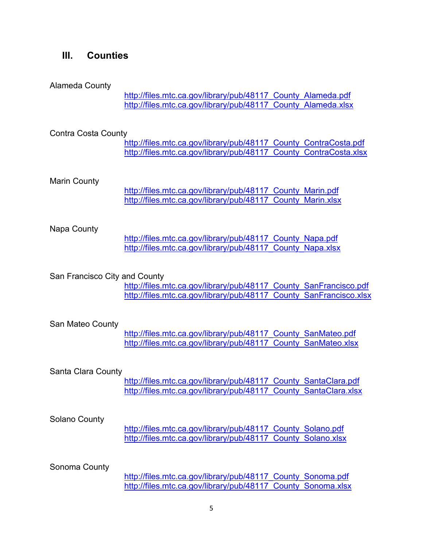### **III. Counties**

#### Alameda County

[http://files.mtc.ca.gov/library/pub/48117\\_County\\_Alameda.pdf](http://files.mtc.ca.gov/library/pub/48117_County_Alameda.pdf) http://files.mtc.ca.gov/library/pub/48117 County Alameda.xlsx

#### Contra Costa County

[http://files.mtc.ca.gov/library/pub/48117\\_County\\_ContraCosta.pdf](http://files.mtc.ca.gov/library/pub/48117_County_ContraCosta.pdf) [http://files.mtc.ca.gov/library/pub/48117\\_County\\_ContraCosta.xlsx](http://files.mtc.ca.gov/library/pub/48117_County_ContraCosta.xlsx)

#### Marin County

[http://files.mtc.ca.gov/library/pub/48117\\_County\\_Marin.pdf](http://files.mtc.ca.gov/library/pub/48117_County_Marin.pdf) http://files.mtc.ca.gov/library/pub/48117 County Marin.xlsx

#### Napa County

[http://files.mtc.ca.gov/library/pub/48117\\_County\\_Napa.pdf](http://files.mtc.ca.gov/library/pub/48117_County_Napa.pdf) [http://files.mtc.ca.gov/library/pub/48117\\_County\\_Napa.xlsx](http://files.mtc.ca.gov/library/pub/48117_County_Napa.xlsx)

#### San Francisco City and County

http://files.mtc.ca.gov/library/pub/48117 County SanFrancisco.pdf [http://files.mtc.ca.gov/library/pub/48117\\_County\\_SanFrancisco.xlsx](http://files.mtc.ca.gov/library/pub/48117_County_SanFrancisco.xlsx)

#### San Mateo County

http://files.mtc.ca.gov/library/pub/48117 County SanMateo.pdf [http://files.mtc.ca.gov/library/pub/48117\\_County\\_SanMateo.xlsx](http://files.mtc.ca.gov/library/pub/48117_County_SanMateo.xlsx)

#### Santa Clara County

http://files.mtc.ca.gov/library/pub/48117 County SantaClara.pdf http://files.mtc.ca.gov/library/pub/48117 County SantaClara.xlsx

#### Solano County

[http://files.mtc.ca.gov/library/pub/48117\\_County\\_Solano.pdf](http://files.mtc.ca.gov/library/pub/48117_County_Solano.pdf) [http://files.mtc.ca.gov/library/pub/48117\\_County\\_Solano.xlsx](http://files.mtc.ca.gov/library/pub/48117_County_Solano.xlsx)

#### Sonoma County

[http://files.mtc.ca.gov/library/pub/48117\\_County\\_Sonoma.pdf](http://files.mtc.ca.gov/library/pub/48117_County_Sonoma.pdf) [http://files.mtc.ca.gov/library/pub/48117\\_County\\_Sonoma.xlsx](http://files.mtc.ca.gov/library/pub/48117_County_Sonoma.xlsx)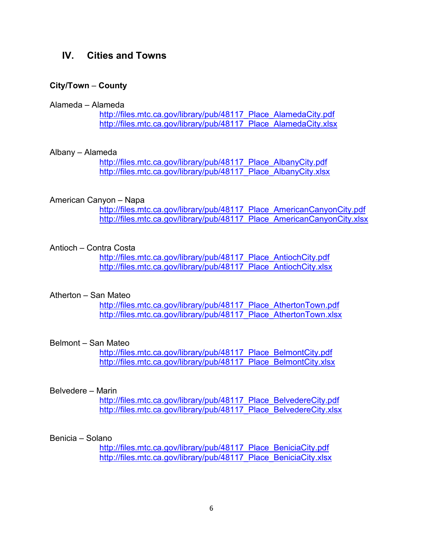### **IV. Cities and Towns**

#### **City/Town** – **County**

#### Alameda – Alameda

http://files.mtc.ca.gov/library/pub/48117 Place AlamedaCity.pdf http://files.mtc.ca.gov/library/pub/48117 Place AlamedaCity.xlsx

#### Albany – Alameda

[http://files.mtc.ca.gov/library/pub/48117\\_Place\\_AlbanyCity.pdf](http://files.mtc.ca.gov/library/pub/48117_Place_AlbanyCity.pdf) [http://files.mtc.ca.gov/library/pub/48117\\_Place\\_AlbanyCity.xlsx](http://files.mtc.ca.gov/library/pub/48117_Place_AlbanyCity.xlsx)

#### American Canyon – Napa

http://files.mtc.ca.gov/library/pub/48117 Place AmericanCanyonCity.pdf [http://files.mtc.ca.gov/library/pub/48117\\_Place\\_AmericanCanyonCity.xlsx](http://files.mtc.ca.gov/library/pub/48117_Place_AmericanCanyonCity.xlsx)

#### Antioch – Contra Costa

http://files.mtc.ca.gov/library/pub/48117 Place AntiochCity.pdf http://files.mtc.ca.gov/library/pub/48117 Place AntiochCity.xlsx

#### Atherton – San Mateo

http://files.mtc.ca.gov/library/pub/48117 Place AthertonTown.pdf http://files.mtc.ca.gov/library/pub/48117 Place AthertonTown.xlsx

#### Belmont – San Mateo

http://files.mtc.ca.gov/library/pub/48117 Place\_BelmontCity.pdf http://files.mtc.ca.gov/library/pub/48117 Place\_BelmontCity.xlsx

#### Belvedere – Marin

http://files.mtc.ca.gov/library/pub/48117 Place\_BelvedereCity.pdf [http://files.mtc.ca.gov/library/pub/48117\\_Place\\_BelvedereCity.xlsx](http://files.mtc.ca.gov/library/pub/48117_Place_BelvedereCity.xlsx)

#### Benicia – Solano

http://files.mtc.ca.gov/library/pub/48117 Place BeniciaCity.pdf [http://files.mtc.ca.gov/library/pub/48117\\_Place\\_BeniciaCity.xlsx](http://files.mtc.ca.gov/library/pub/48117_Place_BeniciaCity.xlsx)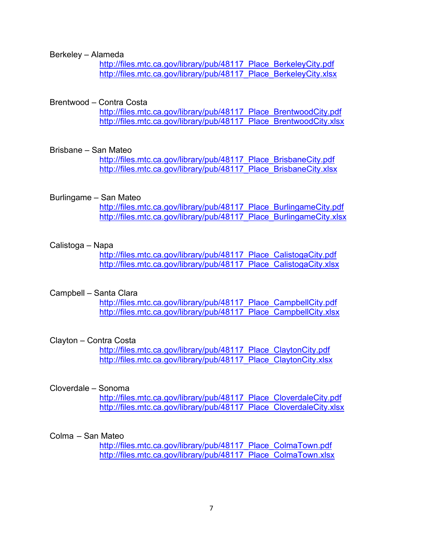Berkeley – Alameda

http://files.mtc.ca.gov/library/pub/48117 Place BerkeleyCity.pdf [http://files.mtc.ca.gov/library/pub/48117\\_Place\\_BerkeleyCity.xlsx](http://files.mtc.ca.gov/library/pub/48117_Place_BerkeleyCity.xlsx)

#### Brentwood – Contra Costa

[http://files.mtc.ca.gov/library/pub/48117\\_Place\\_BrentwoodCity.pdf](http://files.mtc.ca.gov/library/pub/48117_Place_BrentwoodCity.pdf) [http://files.mtc.ca.gov/library/pub/48117\\_Place\\_BrentwoodCity.xlsx](http://files.mtc.ca.gov/library/pub/48117_Place_BrentwoodCity.xlsx)

#### Brisbane – San Mateo

[http://files.mtc.ca.gov/library/pub/48117\\_Place\\_BrisbaneCity.pdf](http://files.mtc.ca.gov/library/pub/48117_Place_BrisbaneCity.pdf) http://files.mtc.ca.gov/library/pub/48117 Place BrisbaneCity.xlsx

#### Burlingame – San Mateo

http://files.mtc.ca.gov/library/pub/48117 Place\_BurlingameCity.pdf http://files.mtc.ca.gov/library/pub/48117 Place BurlingameCity.xlsx

#### Calistoga – Napa

[http://files.mtc.ca.gov/library/pub/48117\\_Place\\_CalistogaCity.pdf](http://files.mtc.ca.gov/library/pub/48117_Place_CalistogaCity.pdf) http://files.mtc.ca.gov/library/pub/48117 Place CalistogaCity.xlsx

#### Campbell – Santa Clara

http://files.mtc.ca.gov/library/pub/48117 Place CampbellCity.pdf [http://files.mtc.ca.gov/library/pub/48117\\_Place\\_CampbellCity.xlsx](http://files.mtc.ca.gov/library/pub/48117_Place_CampbellCity.xlsx)

#### Clayton – Contra Costa

[http://files.mtc.ca.gov/library/pub/48117\\_Place\\_ClaytonCity.pdf](http://files.mtc.ca.gov/library/pub/48117_Place_ClaytonCity.pdf) [http://files.mtc.ca.gov/library/pub/48117\\_Place\\_ClaytonCity.xlsx](http://files.mtc.ca.gov/library/pub/48117_Place_ClaytonCity.xlsx)

#### Cloverdale – Sonoma

[http://files.mtc.ca.gov/library/pub/48117\\_Place\\_CloverdaleCity.pdf](http://files.mtc.ca.gov/library/pub/48117_Place_CloverdaleCity.pdf) http://files.mtc.ca.gov/library/pub/48117 Place CloverdaleCity.xlsx

#### Colma – San Mateo

[http://files.mtc.ca.gov/library/pub/48117\\_Place\\_ColmaTown.pdf](http://files.mtc.ca.gov/library/pub/48117_Place_ColmaTown.pdf) [http://files.mtc.ca.gov/library/pub/48117\\_Place\\_ColmaTown.xlsx](http://files.mtc.ca.gov/library/pub/48117_Place_ColmaTown.xlsx)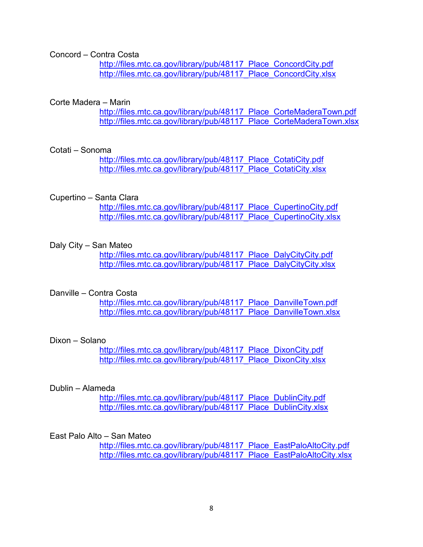Concord – Contra Costa

http://files.mtc.ca.gov/library/pub/48117 Place ConcordCity.pdf [http://files.mtc.ca.gov/library/pub/48117\\_Place\\_ConcordCity.xlsx](http://files.mtc.ca.gov/library/pub/48117_Place_ConcordCity.xlsx)

#### Corte Madera – Marin

[http://files.mtc.ca.gov/library/pub/48117\\_Place\\_CorteMaderaTown.pdf](http://files.mtc.ca.gov/library/pub/48117_Place_CorteMaderaTown.pdf) [http://files.mtc.ca.gov/library/pub/48117\\_Place\\_CorteMaderaTown.xlsx](http://files.mtc.ca.gov/library/pub/48117_Place_CorteMaderaTown.xlsx)

#### Cotati – Sonoma

[http://files.mtc.ca.gov/library/pub/48117\\_Place\\_CotatiCity.pdf](http://files.mtc.ca.gov/library/pub/48117_Place_CotatiCity.pdf) [http://files.mtc.ca.gov/library/pub/48117\\_Place\\_CotatiCity.xlsx](http://files.mtc.ca.gov/library/pub/48117_Place_CotatiCity.xlsx)

#### Cupertino – Santa Clara

http://files.mtc.ca.gov/library/pub/48117 Place CupertinoCity.pdf http://files.mtc.ca.gov/library/pub/48117 Place CupertinoCity.xlsx

#### Daly City – San Mateo

http://files.mtc.ca.gov/library/pub/48117 Place\_DalyCityCity.pdf [http://files.mtc.ca.gov/library/pub/48117\\_Place\\_DalyCityCity.xlsx](http://files.mtc.ca.gov/library/pub/48117_Place_DalyCityCity.xlsx)

#### Danville – Contra Costa

[http://files.mtc.ca.gov/library/pub/48117\\_Place\\_DanvilleTown.pdf](http://files.mtc.ca.gov/library/pub/48117_Place_DanvilleTown.pdf) http://files.mtc.ca.gov/library/pub/48117 Place DanvilleTown.xlsx

#### Dixon – Solano

[http://files.mtc.ca.gov/library/pub/48117\\_Place\\_DixonCity.pdf](http://files.mtc.ca.gov/library/pub/48117_Place_DixonCity.pdf) [http://files.mtc.ca.gov/library/pub/48117\\_Place\\_DixonCity.xlsx](http://files.mtc.ca.gov/library/pub/48117_Place_DixonCity.xlsx)

#### Dublin – Alameda

http://files.mtc.ca.gov/library/pub/48117 Place DublinCity.pdf [http://files.mtc.ca.gov/library/pub/48117\\_Place\\_DublinCity.xlsx](http://files.mtc.ca.gov/library/pub/48117_Place_DublinCity.xlsx)

#### East Palo Alto – San Mateo

http://files.mtc.ca.gov/library/pub/48117 Place\_EastPaloAltoCity.pdf http://files.mtc.ca.gov/library/pub/48117 Place\_EastPaloAltoCity.xlsx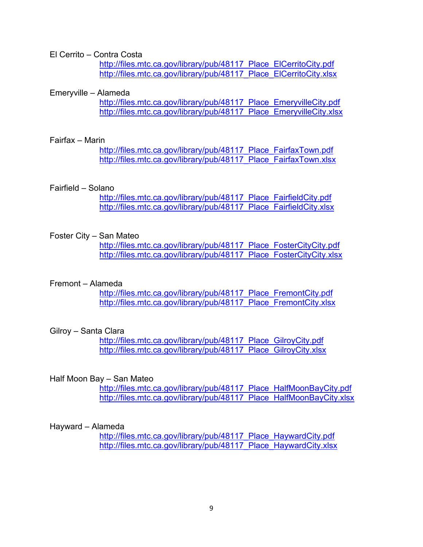El Cerrito – Contra Costa

[http://files.mtc.ca.gov/library/pub/48117\\_Place\\_ElCerritoCity.pdf](http://files.mtc.ca.gov/library/pub/48117_Place_ElCerritoCity.pdf) http://files.mtc.ca.gov/library/pub/48117 Place ElCerritoCity.xlsx

#### Emeryville – Alameda

http://files.mtc.ca.gov/library/pub/48117 Place\_EmeryvilleCity.pdf [http://files.mtc.ca.gov/library/pub/48117\\_Place\\_EmeryvilleCity.xlsx](http://files.mtc.ca.gov/library/pub/48117_Place_EmeryvilleCity.xlsx)

#### Fairfax – Marin

http://files.mtc.ca.gov/library/pub/48117 Place FairfaxTown.pdf [http://files.mtc.ca.gov/library/pub/48117\\_Place\\_FairfaxTown.xlsx](http://files.mtc.ca.gov/library/pub/48117_Place_FairfaxTown.xlsx)

#### Fairfield – Solano

http://files.mtc.ca.gov/library/pub/48117 Place FairfieldCity.pdf http://files.mtc.ca.gov/library/pub/48117 Place FairfieldCity.xlsx

#### Foster City – San Mateo

[http://files.mtc.ca.gov/library/pub/48117\\_Place\\_FosterCityCity.pdf](http://files.mtc.ca.gov/library/pub/48117_Place_FosterCityCity.pdf) http://files.mtc.ca.gov/library/pub/48117 Place FosterCityCity.xlsx

#### Fremont – Alameda

http://files.mtc.ca.gov/library/pub/48117 Place FremontCity.pdf [http://files.mtc.ca.gov/library/pub/48117\\_Place\\_FremontCity.xlsx](http://files.mtc.ca.gov/library/pub/48117_Place_FremontCity.xlsx)

#### Gilroy – Santa Clara

http://files.mtc.ca.gov/library/pub/48117 Place\_GilroyCity.pdf [http://files.mtc.ca.gov/library/pub/48117\\_Place\\_GilroyCity.xlsx](http://files.mtc.ca.gov/library/pub/48117_Place_GilroyCity.xlsx)

#### Half Moon Bay – San Mateo

[http://files.mtc.ca.gov/library/pub/48117\\_Place\\_HalfMoonBayCity.pdf](http://files.mtc.ca.gov/library/pub/48117_Place_HalfMoonBayCity.pdf) [http://files.mtc.ca.gov/library/pub/48117\\_Place\\_HalfMoonBayCity.xlsx](http://files.mtc.ca.gov/library/pub/48117_Place_HalfMoonBayCity.xlsx)

#### Hayward – Alameda

http://files.mtc.ca.gov/library/pub/48117 Place HaywardCity.pdf [http://files.mtc.ca.gov/library/pub/48117\\_Place\\_HaywardCity.xlsx](http://files.mtc.ca.gov/library/pub/48117_Place_HaywardCity.xlsx)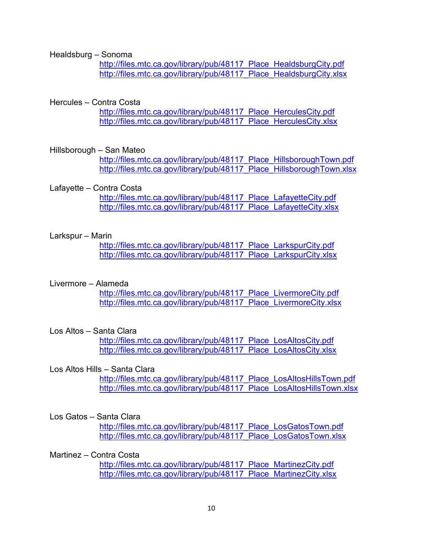Healdsburg – Sonoma

http://files.mtc.ca.gov/library/pub/48117 Place HealdsburgCity.pdf [http://files.mtc.ca.gov/library/pub/48117\\_Place\\_HealdsburgCity.xlsx](http://files.mtc.ca.gov/library/pub/48117_Place_HealdsburgCity.xlsx)

#### Hercules – Contra Costa

http://files.mtc.ca.gov/library/pub/48117 Place HerculesCity.pdf [http://files.mtc.ca.gov/library/pub/48117\\_Place\\_HerculesCity.xlsx](http://files.mtc.ca.gov/library/pub/48117_Place_HerculesCity.xlsx)

#### Hillsborough – San Mateo

http://files.mtc.ca.gov/library/pub/48117 Place\_HillsboroughTown.pdf http://files.mtc.ca.gov/library/pub/48117 Place HillsboroughTown.xlsx

#### Lafayette – Contra Costa

[http://files.mtc.ca.gov/library/pub/48117\\_Place\\_LafayetteCity.pdf](http://files.mtc.ca.gov/library/pub/48117_Place_LafayetteCity.pdf) [http://files.mtc.ca.gov/library/pub/48117\\_Place\\_LafayetteCity.xlsx](http://files.mtc.ca.gov/library/pub/48117_Place_LafayetteCity.xlsx)

#### Larkspur – Marin

http://files.mtc.ca.gov/library/pub/48117 Place LarkspurCity.pdf http://files.mtc.ca.gov/library/pub/48117 Place LarkspurCity.xlsx

#### Livermore – Alameda

[http://files.mtc.ca.gov/library/pub/48117\\_Place\\_LivermoreCity.pdf](http://files.mtc.ca.gov/library/pub/48117_Place_LivermoreCity.pdf) [http://files.mtc.ca.gov/library/pub/48117\\_Place\\_LivermoreCity.xlsx](http://files.mtc.ca.gov/library/pub/48117_Place_LivermoreCity.xlsx)

#### Los Altos – Santa Clara

[http://files.mtc.ca.gov/library/pub/48117\\_Place\\_LosAltosCity.pdf](http://files.mtc.ca.gov/library/pub/48117_Place_LosAltosCity.pdf) [http://files.mtc.ca.gov/library/pub/48117\\_Place\\_LosAltosCity.xlsx](http://files.mtc.ca.gov/library/pub/48117_Place_LosAltosCity.xlsx)

#### Los Altos Hills – Santa Clara

[http://files.mtc.ca.gov/library/pub/48117\\_Place\\_LosAltosHillsTown.pdf](http://files.mtc.ca.gov/library/pub/48117_Place_LosAltosHillsTown.pdf) [http://files.mtc.ca.gov/library/pub/48117\\_Place\\_LosAltosHillsTown.xlsx](http://files.mtc.ca.gov/library/pub/48117_Place_LosAltosHillsTown.xlsx)

#### Los Gatos – Santa Clara

[http://files.mtc.ca.gov/library/pub/48117\\_Place\\_LosGatosTown.pdf](http://files.mtc.ca.gov/library/pub/48117_Place_LosGatosTown.pdf) http://files.mtc.ca.gov/library/pub/48117 Place LosGatosTown.xlsx

#### Martinez – Contra Costa

http://files.mtc.ca.gov/library/pub/48117 Place\_MartinezCity.pdf http://files.mtc.ca.gov/library/pub/48117 Place MartinezCity.xlsx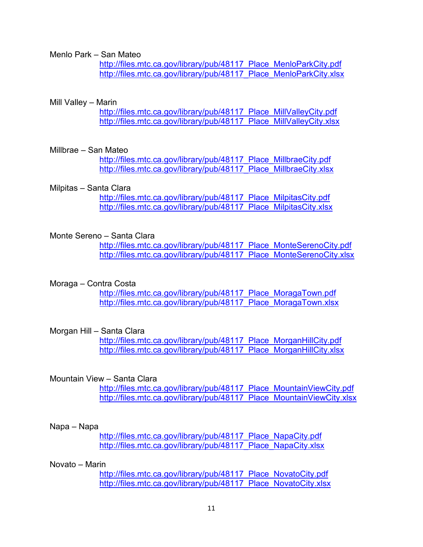Menlo Park – San Mateo

[http://files.mtc.ca.gov/library/pub/48117\\_Place\\_MenloParkCity.pdf](http://files.mtc.ca.gov/library/pub/48117_Place_MenloParkCity.pdf) [http://files.mtc.ca.gov/library/pub/48117\\_Place\\_MenloParkCity.xlsx](http://files.mtc.ca.gov/library/pub/48117_Place_MenloParkCity.xlsx)

#### Mill Valley – Marin

[http://files.mtc.ca.gov/library/pub/48117\\_Place\\_MillValleyCity.pdf](http://files.mtc.ca.gov/library/pub/48117_Place_MillValleyCity.pdf) [http://files.mtc.ca.gov/library/pub/48117\\_Place\\_MillValleyCity.xlsx](http://files.mtc.ca.gov/library/pub/48117_Place_MillValleyCity.xlsx)

#### Millbrae – San Mateo

[http://files.mtc.ca.gov/library/pub/48117\\_Place\\_MillbraeCity.pdf](http://files.mtc.ca.gov/library/pub/48117_Place_MillbraeCity.pdf) [http://files.mtc.ca.gov/library/pub/48117\\_Place\\_MillbraeCity.xlsx](http://files.mtc.ca.gov/library/pub/48117_Place_MillbraeCity.xlsx)

#### Milpitas – Santa Clara

http://files.mtc.ca.gov/library/pub/48117 Place\_MilpitasCity.pdf http://files.mtc.ca.gov/library/pub/48117 Place\_MilpitasCity.xlsx

#### Monte Sereno – Santa Clara

http://files.mtc.ca.gov/library/pub/48117 Place MonteSerenoCity.pdf http://files.mtc.ca.gov/library/pub/48117 Place MonteSerenoCity.xlsx

#### Moraga – Contra Costa

http://files.mtc.ca.gov/library/pub/48117 Place\_MoragaTown.pdf [http://files.mtc.ca.gov/library/pub/48117\\_Place\\_MoragaTown.xlsx](http://files.mtc.ca.gov/library/pub/48117_Place_MoragaTown.xlsx)

#### Morgan Hill – Santa Clara

http://files.mtc.ca.gov/library/pub/48117 Place\_MorganHillCity.pdf [http://files.mtc.ca.gov/library/pub/48117\\_Place\\_MorganHillCity.xlsx](http://files.mtc.ca.gov/library/pub/48117_Place_MorganHillCity.xlsx)

#### Mountain View – Santa Clara

http://files.mtc.ca.gov/library/pub/48117 Place MountainViewCity.pdf [http://files.mtc.ca.gov/library/pub/48117\\_Place\\_MountainViewCity.xlsx](http://files.mtc.ca.gov/library/pub/48117_Place_MountainViewCity.xlsx)

#### Napa – Napa

http://files.mtc.ca.gov/library/pub/48117 Place\_NapaCity.pdf [http://files.mtc.ca.gov/library/pub/48117\\_Place\\_NapaCity.xlsx](http://files.mtc.ca.gov/library/pub/48117_Place_NapaCity.xlsx)

#### Novato – Marin

http://files.mtc.ca.gov/library/pub/48117 Place NovatoCity.pdf [http://files.mtc.ca.gov/library/pub/48117\\_Place\\_NovatoCity.xlsx](http://files.mtc.ca.gov/library/pub/48117_Place_NovatoCity.xlsx)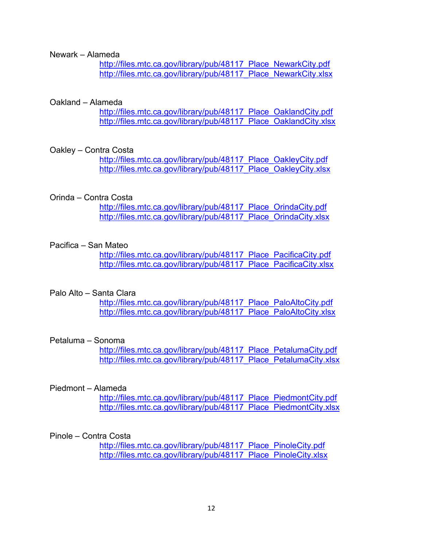#### Newark – Alameda

http://files.mtc.ca.gov/library/pub/48117 Place\_NewarkCity.pdf [http://files.mtc.ca.gov/library/pub/48117\\_Place\\_NewarkCity.xlsx](http://files.mtc.ca.gov/library/pub/48117_Place_NewarkCity.xlsx)

#### Oakland – Alameda

http://files.mtc.ca.gov/library/pub/48117 Place\_OaklandCity.pdf [http://files.mtc.ca.gov/library/pub/48117\\_Place\\_OaklandCity.xlsx](http://files.mtc.ca.gov/library/pub/48117_Place_OaklandCity.xlsx)

#### Oakley – Contra Costa

[http://files.mtc.ca.gov/library/pub/48117\\_Place\\_OakleyCity.pdf](http://files.mtc.ca.gov/library/pub/48117_Place_OakleyCity.pdf) [http://files.mtc.ca.gov/library/pub/48117\\_Place\\_OakleyCity.xlsx](http://files.mtc.ca.gov/library/pub/48117_Place_OakleyCity.xlsx)

#### Orinda – Contra Costa

http://files.mtc.ca.gov/library/pub/48117 Place OrindaCity.pdf http://files.mtc.ca.gov/library/pub/48117 Place OrindaCity.xlsx

#### Pacifica – San Mateo

http://files.mtc.ca.gov/library/pub/48117 Place\_PacificaCity.pdf [http://files.mtc.ca.gov/library/pub/48117\\_Place\\_PacificaCity.xlsx](http://files.mtc.ca.gov/library/pub/48117_Place_PacificaCity.xlsx)

#### Palo Alto – Santa Clara

[http://files.mtc.ca.gov/library/pub/48117\\_Place\\_PaloAltoCity.pdf](http://files.mtc.ca.gov/library/pub/48117_Place_PaloAltoCity.pdf) [http://files.mtc.ca.gov/library/pub/48117\\_Place\\_PaloAltoCity.xlsx](http://files.mtc.ca.gov/library/pub/48117_Place_PaloAltoCity.xlsx)

#### Petaluma – Sonoma

[http://files.mtc.ca.gov/library/pub/48117\\_Place\\_PetalumaCity.pdf](http://files.mtc.ca.gov/library/pub/48117_Place_PetalumaCity.pdf) http://files.mtc.ca.gov/library/pub/48117 Place PetalumaCity.xlsx

#### Piedmont – Alameda

http://files.mtc.ca.gov/library/pub/48117 Place PiedmontCity.pdf [http://files.mtc.ca.gov/library/pub/48117\\_Place\\_PiedmontCity.xlsx](http://files.mtc.ca.gov/library/pub/48117_Place_PiedmontCity.xlsx)

#### Pinole – Contra Costa

[http://files.mtc.ca.gov/library/pub/48117\\_Place\\_PinoleCity.pdf](http://files.mtc.ca.gov/library/pub/48117_Place_PinoleCity.pdf) http://files.mtc.ca.gov/library/pub/48117 Place PinoleCity.xlsx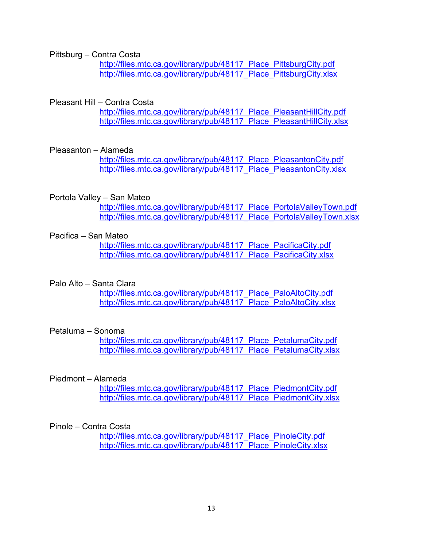Pittsburg – Contra Costa

http://files.mtc.ca.gov/library/pub/48117 Place PittsburgCity.pdf [http://files.mtc.ca.gov/library/pub/48117\\_Place\\_PittsburgCity.xlsx](http://files.mtc.ca.gov/library/pub/48117_Place_PittsburgCity.xlsx)

#### Pleasant Hill – Contra Costa

http://files.mtc.ca.gov/library/pub/48117 Place PleasantHillCity.pdf [http://files.mtc.ca.gov/library/pub/48117\\_Place\\_PleasantHillCity.xlsx](http://files.mtc.ca.gov/library/pub/48117_Place_PleasantHillCity.xlsx)

#### Pleasanton – Alameda

[http://files.mtc.ca.gov/library/pub/48117\\_Place\\_PleasantonCity.pdf](http://files.mtc.ca.gov/library/pub/48117_Place_PleasantonCity.pdf) http://files.mtc.ca.gov/library/pub/48117 Place PleasantonCity.xlsx

#### Portola Valley – San Mateo

[http://files.mtc.ca.gov/library/pub/48117\\_Place\\_PortolaValleyTown.pdf](http://files.mtc.ca.gov/library/pub/48117_Place_PortolaValleyTown.pdf) [http://files.mtc.ca.gov/library/pub/48117\\_Place\\_PortolaValleyTown.xlsx](http://files.mtc.ca.gov/library/pub/48117_Place_PortolaValleyTown.xlsx)

#### Pacifica – San Mateo

http://files.mtc.ca.gov/library/pub/48117 Place PacificaCity.pdf http://files.mtc.ca.gov/library/pub/48117 Place PacificaCity.xlsx

#### Palo Alto – Santa Clara

[http://files.mtc.ca.gov/library/pub/48117\\_Place\\_PaloAltoCity.pdf](http://files.mtc.ca.gov/library/pub/48117_Place_PaloAltoCity.pdf) [http://files.mtc.ca.gov/library/pub/48117\\_Place\\_PaloAltoCity.xlsx](http://files.mtc.ca.gov/library/pub/48117_Place_PaloAltoCity.xlsx)

#### Petaluma – Sonoma

[http://files.mtc.ca.gov/library/pub/48117\\_Place\\_PetalumaCity.pdf](http://files.mtc.ca.gov/library/pub/48117_Place_PetalumaCity.pdf) [http://files.mtc.ca.gov/library/pub/48117\\_Place\\_PetalumaCity.xlsx](http://files.mtc.ca.gov/library/pub/48117_Place_PetalumaCity.xlsx)

#### Piedmont – Alameda

[http://files.mtc.ca.gov/library/pub/48117\\_Place\\_PiedmontCity.pdf](http://files.mtc.ca.gov/library/pub/48117_Place_PiedmontCity.pdf) [http://files.mtc.ca.gov/library/pub/48117\\_Place\\_PiedmontCity.xlsx](http://files.mtc.ca.gov/library/pub/48117_Place_PiedmontCity.xlsx)

#### Pinole – Contra Costa

http://files.mtc.ca.gov/library/pub/48117 Place PinoleCity.pdf [http://files.mtc.ca.gov/library/pub/48117\\_Place\\_PinoleCity.xlsx](http://files.mtc.ca.gov/library/pub/48117_Place_PinoleCity.xlsx)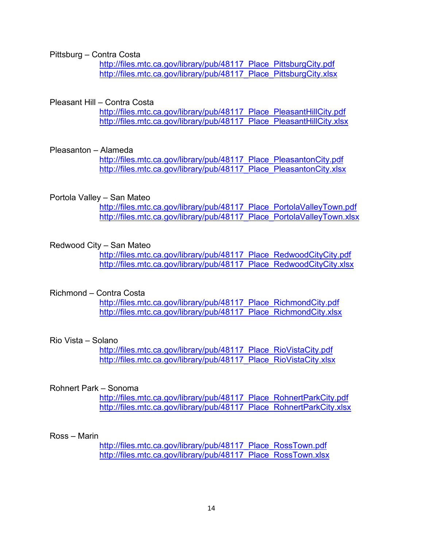Pittsburg – Contra Costa

http://files.mtc.ca.gov/library/pub/48117 Place PittsburgCity.pdf [http://files.mtc.ca.gov/library/pub/48117\\_Place\\_PittsburgCity.xlsx](http://files.mtc.ca.gov/library/pub/48117_Place_PittsburgCity.xlsx)

#### Pleasant Hill – Contra Costa

http://files.mtc.ca.gov/library/pub/48117 Place PleasantHillCity.pdf [http://files.mtc.ca.gov/library/pub/48117\\_Place\\_PleasantHillCity.xlsx](http://files.mtc.ca.gov/library/pub/48117_Place_PleasantHillCity.xlsx)

#### Pleasanton – Alameda

[http://files.mtc.ca.gov/library/pub/48117\\_Place\\_PleasantonCity.pdf](http://files.mtc.ca.gov/library/pub/48117_Place_PleasantonCity.pdf) http://files.mtc.ca.gov/library/pub/48117 Place PleasantonCity.xlsx

#### Portola Valley – San Mateo

[http://files.mtc.ca.gov/library/pub/48117\\_Place\\_PortolaValleyTown.pdf](http://files.mtc.ca.gov/library/pub/48117_Place_PortolaValleyTown.pdf) [http://files.mtc.ca.gov/library/pub/48117\\_Place\\_PortolaValleyTown.xlsx](http://files.mtc.ca.gov/library/pub/48117_Place_PortolaValleyTown.xlsx)

#### Redwood City – San Mateo

[http://files.mtc.ca.gov/library/pub/48117\\_Place\\_RedwoodCityCity.pdf](http://files.mtc.ca.gov/library/pub/48117_Place_RedwoodCityCity.pdf) [http://files.mtc.ca.gov/library/pub/48117\\_Place\\_RedwoodCityCity.xlsx](http://files.mtc.ca.gov/library/pub/48117_Place_RedwoodCityCity.xlsx)

#### Richmond – Contra Costa

[http://files.mtc.ca.gov/library/pub/48117\\_Place\\_RichmondCity.pdf](http://files.mtc.ca.gov/library/pub/48117_Place_RichmondCity.pdf) [http://files.mtc.ca.gov/library/pub/48117\\_Place\\_RichmondCity.xlsx](http://files.mtc.ca.gov/library/pub/48117_Place_RichmondCity.xlsx)

#### Rio Vista – Solano

http://files.mtc.ca.gov/library/pub/48117 Place\_RioVistaCity.pdf [http://files.mtc.ca.gov/library/pub/48117\\_Place\\_RioVistaCity.xlsx](http://files.mtc.ca.gov/library/pub/48117_Place_RioVistaCity.xlsx)

#### Rohnert Park – Sonoma

[http://files.mtc.ca.gov/library/pub/48117\\_Place\\_RohnertParkCity.pdf](http://files.mtc.ca.gov/library/pub/48117_Place_RohnertParkCity.pdf) [http://files.mtc.ca.gov/library/pub/48117\\_Place\\_RohnertParkCity.xlsx](http://files.mtc.ca.gov/library/pub/48117_Place_RohnertParkCity.xlsx)

#### Ross – Marin

http://files.mtc.ca.gov/library/pub/48117 Place\_RossTown.pdf http://files.mtc.ca.gov/library/pub/48117 Place RossTown.xlsx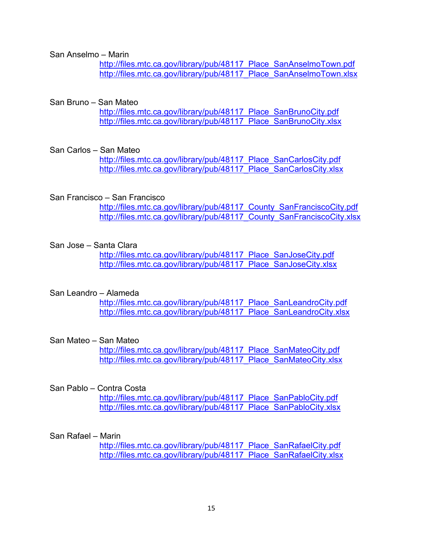San Anselmo – Marin

http://files.mtc.ca.gov/library/pub/48117 Place SanAnselmoTown.pdf [http://files.mtc.ca.gov/library/pub/48117\\_Place\\_SanAnselmoTown.xlsx](http://files.mtc.ca.gov/library/pub/48117_Place_SanAnselmoTown.xlsx)

#### San Bruno – San Mateo

http://files.mtc.ca.gov/library/pub/48117 Place SanBrunoCity.pdf [http://files.mtc.ca.gov/library/pub/48117\\_Place\\_SanBrunoCity.xlsx](http://files.mtc.ca.gov/library/pub/48117_Place_SanBrunoCity.xlsx)

#### San Carlos – San Mateo

http://files.mtc.ca.gov/library/pub/48117 Place SanCarlosCity.pdf [http://files.mtc.ca.gov/library/pub/48117\\_Place\\_SanCarlosCity.xlsx](http://files.mtc.ca.gov/library/pub/48117_Place_SanCarlosCity.xlsx)

#### San Francisco – San Francisco

http://files.mtc.ca.gov/library/pub/48117 County SanFranciscoCity.pdf http://files.mtc.ca.gov/library/pub/48117 County SanFranciscoCity.xlsx

#### San Jose – Santa Clara

http://files.mtc.ca.gov/library/pub/48117 Place SanJoseCity.pdf http://files.mtc.ca.gov/library/pub/48117 Place SanJoseCity.xlsx

#### San Leandro – Alameda

http://files.mtc.ca.gov/library/pub/48117 Place SanLeandroCity.pdf [http://files.mtc.ca.gov/library/pub/48117\\_Place\\_SanLeandroCity.xlsx](http://files.mtc.ca.gov/library/pub/48117_Place_SanLeandroCity.xlsx)

#### San Mateo – San Mateo

http://files.mtc.ca.gov/library/pub/48117 Place SanMateoCity.pdf http://files.mtc.ca.gov/library/pub/48117 Place SanMateoCity.xlsx

#### San Pablo – Contra Costa

http://files.mtc.ca.gov/library/pub/48117 Place SanPabloCity.pdf http://files.mtc.ca.gov/library/pub/48117 Place SanPabloCity.xlsx

#### San Rafael – Marin

http://files.mtc.ca.gov/library/pub/48117 Place SanRafaelCity.pdf http://files.mtc.ca.gov/library/pub/48117 Place SanRafaelCity.xlsx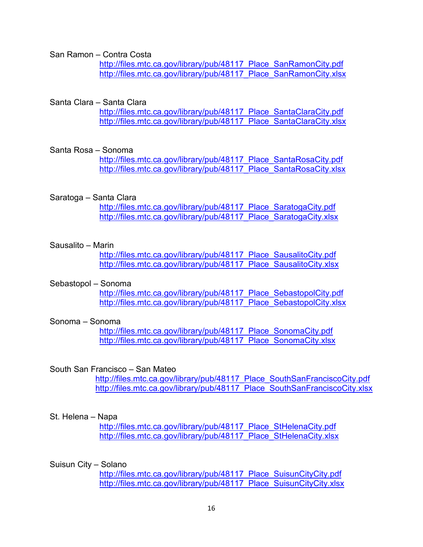San Ramon – Contra Costa

http://files.mtc.ca.gov/library/pub/48117 Place SanRamonCity.pdf [http://files.mtc.ca.gov/library/pub/48117\\_Place\\_SanRamonCity.xlsx](http://files.mtc.ca.gov/library/pub/48117_Place_SanRamonCity.xlsx)

#### Santa Clara – Santa Clara

[http://files.mtc.ca.gov/library/pub/48117\\_Place\\_SantaClaraCity.pdf](http://files.mtc.ca.gov/library/pub/48117_Place_SantaClaraCity.pdf) [http://files.mtc.ca.gov/library/pub/48117\\_Place\\_SantaClaraCity.xlsx](http://files.mtc.ca.gov/library/pub/48117_Place_SantaClaraCity.xlsx)

#### Santa Rosa – Sonoma

[http://files.mtc.ca.gov/library/pub/48117\\_Place\\_SantaRosaCity.pdf](http://files.mtc.ca.gov/library/pub/48117_Place_SantaRosaCity.pdf) http://files.mtc.ca.gov/library/pub/48117 Place\_SantaRosaCity.xlsx

#### Saratoga – Santa Clara

http://files.mtc.ca.gov/library/pub/48117 Place\_SaratogaCity.pdf http://files.mtc.ca.gov/library/pub/48117 Place SaratogaCity.xlsx

#### Sausalito – Marin

[http://files.mtc.ca.gov/library/pub/48117\\_Place\\_SausalitoCity.pdf](http://files.mtc.ca.gov/library/pub/48117_Place_SausalitoCity.pdf) [http://files.mtc.ca.gov/library/pub/48117\\_Place\\_SausalitoCity.xlsx](http://files.mtc.ca.gov/library/pub/48117_Place_SausalitoCity.xlsx)

#### Sebastopol – Sonoma

http://files.mtc.ca.gov/library/pub/48117 Place SebastopolCity.pdf [http://files.mtc.ca.gov/library/pub/48117\\_Place\\_SebastopolCity.xlsx](http://files.mtc.ca.gov/library/pub/48117_Place_SebastopolCity.xlsx)

#### Sonoma – Sonoma

http://files.mtc.ca.gov/library/pub/48117 Place SonomaCity.pdf http://files.mtc.ca.gov/library/pub/48117 Place\_SonomaCity.xlsx

#### South San Francisco – San Mateo

http://files.mtc.ca.gov/library/pub/48117 Place SouthSanFranciscoCity.pdf http://files.mtc.ca.gov/library/pub/48117 Place SouthSanFranciscoCity.xlsx

#### St. Helena – Napa

[http://files.mtc.ca.gov/library/pub/48117\\_Place\\_StHelenaCity.pdf](http://files.mtc.ca.gov/library/pub/48117_Place_StHelenaCity.pdf) http://files.mtc.ca.gov/library/pub/48117 Place StHelenaCity.xlsx

#### Suisun City – Solano

http://files.mtc.ca.gov/library/pub/48117 Place SuisunCityCity.pdf [http://files.mtc.ca.gov/library/pub/48117\\_Place\\_SuisunCityCity.xlsx](http://files.mtc.ca.gov/library/pub/48117_Place_SuisunCityCity.xlsx)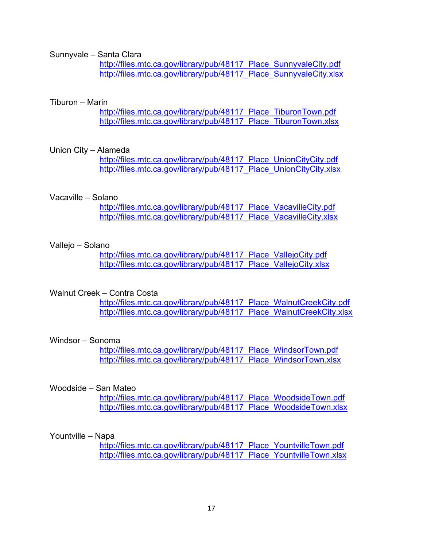Sunnyvale – Santa Clara

http://files.mtc.ca.gov/library/pub/48117 Place SunnyvaleCity.pdf [http://files.mtc.ca.gov/library/pub/48117\\_Place\\_SunnyvaleCity.xlsx](http://files.mtc.ca.gov/library/pub/48117_Place_SunnyvaleCity.xlsx)

#### Tiburon – Marin

http://files.mtc.ca.gov/library/pub/48117 Place TiburonTown.pdf [http://files.mtc.ca.gov/library/pub/48117\\_Place\\_TiburonTown.xlsx](http://files.mtc.ca.gov/library/pub/48117_Place_TiburonTown.xlsx)

#### Union City – Alameda

[http://files.mtc.ca.gov/library/pub/48117\\_Place\\_UnionCityCity.pdf](http://files.mtc.ca.gov/library/pub/48117_Place_UnionCityCity.pdf) http://files.mtc.ca.gov/library/pub/48117 Place UnionCityCity.xlsx

#### Vacaville – Solano

http://files.mtc.ca.gov/library/pub/48117 Place\_VacavilleCity.pdf http://files.mtc.ca.gov/library/pub/48117 Place VacavilleCity.xlsx

#### Vallejo – Solano

[http://files.mtc.ca.gov/library/pub/48117\\_Place\\_VallejoCity.pdf](http://files.mtc.ca.gov/library/pub/48117_Place_VallejoCity.pdf) [http://files.mtc.ca.gov/library/pub/48117\\_Place\\_VallejoCity.xlsx](http://files.mtc.ca.gov/library/pub/48117_Place_VallejoCity.xlsx)

#### Walnut Creek – Contra Costa

[http://files.mtc.ca.gov/library/pub/48117\\_Place\\_WalnutCreekCity.pdf](http://files.mtc.ca.gov/library/pub/48117_Place_WalnutCreekCity.pdf) [http://files.mtc.ca.gov/library/pub/48117\\_Place\\_WalnutCreekCity.xlsx](http://files.mtc.ca.gov/library/pub/48117_Place_WalnutCreekCity.xlsx)

#### Windsor – Sonoma

http://files.mtc.ca.gov/library/pub/48117 Place\_WindsorTown.pdf http://files.mtc.ca.gov/library/pub/48117 Place\_WindsorTown.xlsx

#### Woodside – San Mateo

[http://files.mtc.ca.gov/library/pub/48117\\_Place\\_WoodsideTown.pdf](http://files.mtc.ca.gov/library/pub/48117_Place_WoodsideTown.pdf) http://files.mtc.ca.gov/library/pub/48117 Place\_WoodsideTown.xlsx

#### Yountville – Napa

http://files.mtc.ca.gov/library/pub/48117 Place\_YountvilleTown.pdf [http://files.mtc.ca.gov/library/pub/48117\\_Place\\_YountvilleTown.xlsx](http://files.mtc.ca.gov/library/pub/48117_Place_YountvilleTown.xlsx)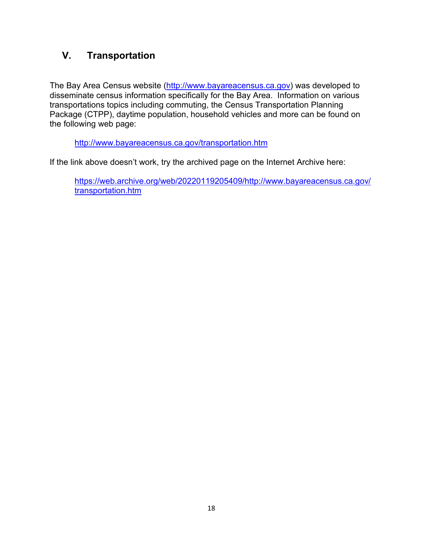## **V. Transportation**

The Bay Area Census website [\(http://www.bayareacensus.ca.gov\)](http://www.bayareacensus.ca.gov/) was developed to disseminate census information specifically for the Bay Area. Information on various transportations topics including commuting, the Census Transportation Planning Package (CTPP), daytime population, household vehicles and more can be found on the following web page:

<http://www.bayareacensus.ca.gov/transportation.htm>

If the link above doesn't work, try the archived page on the Internet Archive here:

[https://web.archive.org/web/20220119205409/http://www.bayareacensus.ca.gov/](https://web.archive.org/web/20220119205409/http:/www.bayareacensus.ca.gov/transportation.htm) [transportation.htm](https://web.archive.org/web/20220119205409/http:/www.bayareacensus.ca.gov/transportation.htm)